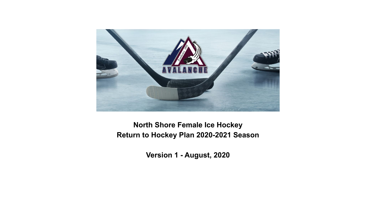

#### **North Shore Female Ice Hockey Return to Hockey Plan 2020-2021 Season**

**Version 1 - August, 2020**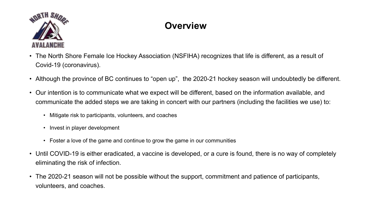

# **Overview**

- The North Shore Female Ice Hockey Association (NSFIHA) recognizes that life is different, as a result of Covid-19 (coronavirus).
- Although the province of BC continues to "open up", the 2020-21 hockey season will undoubtedly be different.
- Our intention is to communicate what we expect will be different, based on the information available, and communicate the added steps we are taking in concert with our partners (including the facilities we use) to:
	- Mitigate risk to participants, volunteers, and coaches
	- Invest in player development
	- Foster a love of the game and continue to grow the game in our communities
- Until COVID-19 is either eradicated, a vaccine is developed, or a cure is found, there is no way of completely eliminating the risk of infection.
- The 2020-21 season will not be possible without the support, commitment and patience of participants, volunteers, and coaches.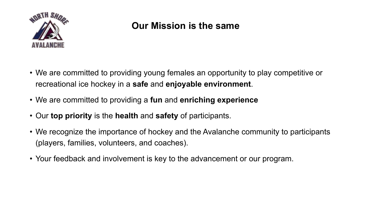

#### **Our Mission is the same**

- We are committed to providing young females an opportunity to play competitive or recreational ice hockey in a **safe** and **enjoyable environment**.
- We are committed to providing a **fun** and **enriching experience**
- Our **top priority** is the **health** and **safety** of participants.
- We recognize the importance of hockey and the Avalanche community to participants (players, families, volunteers, and coaches).
- Your feedback and involvement is key to the advancement or our program.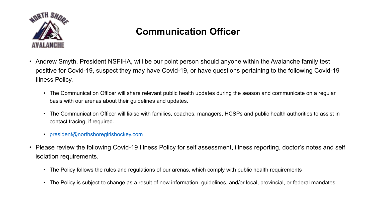

#### **Communication Officer**

- Andrew Smyth, President NSFIHA, will be our point person should anyone within the Avalanche family test positive for Covid-19, suspect they may have Covid-19, or have questions pertaining to the following Covid-19 Illness Policy.
	- The Communication Officer will share relevant public health updates during the season and communicate on a regular basis with our arenas about their guidelines and updates.
	- The Communication Officer will liaise with families, coaches, managers, HCSPs and public health authorities to assist in contact tracing, if required.
	- [president@northshoregirlshockey.com](mailto:president@northshoregirlshockey.com)
- Please review the following Covid-19 Illness Policy for self assessment, illness reporting, doctor's notes and self isolation requirements.
	- The Policy follows the rules and regulations of our arenas, which comply with public health requirements
	- The Policy is subject to change as a result of new information, guidelines, and/or local, provincial, or federal mandates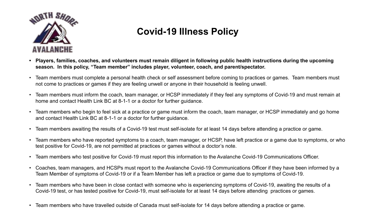

#### **Covid-19 Illness Policy**

- **• Players, families, coaches, and volunteers must remain diligent in following public health instructions during the upcoming season. In this policy, "Team member" includes player, volunteer, coach, and parent/spectator.**
- Team members must complete a personal health check or self assessment before coming to practices or games. Team members must not come to practices or games if they are feeling unwell or anyone in their household is feeling unwell.
- Team members must inform the coach, team manager, or HCSP immediately if they feel any symptoms of Covid-19 and must remain at home and contact Health Link BC at 8-1-1 or a doctor for further guidance.
- Team members who begin to feel sick at a practice or game must inform the coach, team manager, or HCSP immediately and go home and contact Health Link BC at 8-1-1 or a doctor for further guidance.
- Team members awaiting the results of a Covid-19 test must self-isolate for at least 14 days before attending a practice or game.
- Team members who have reported symptoms to a coach, team manager, or HCSP, have left practice or a game due to symptoms, or who test positive for Covid-19, are not permitted at practices or games without a doctor's note.
- Team members who test positive for Covid-19 must report this information to the Avalanche Covid-19 Communications Officer.
- Coaches, team managers, and HCSPs must report to the Avalanche Covid-19 Communications Officer if they have been informed by a Team Member of symptoms of Covid-19 or if a Team Member has left a practice or game due to symptoms of Covid-19.
- Team members who have been in close contact with someone who is experiencing symptoms of Covid-19, awaiting the results of a Covid-19 test, or has tested positive for Covid-19, must self-isolate for at least 14 days before attending practices or games.
- Team members who have travelled outside of Canada must self-isolate for 14 days before attending a practice or game.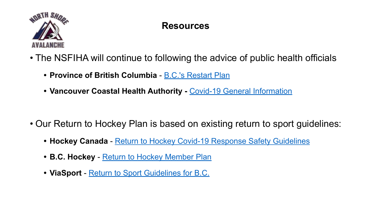

## **Resources**

- The NSFIHA will continue to following the advice of public health officials
	- **• Province of British Columbia**  [B.C.'s Restart Plan](https://www2.gov.bc.ca/assets/gov/public-safety-and-emergency-services/emergency-preparedness-response-recovery/gdx/bcs_restart_plan_web.pdf?bcgovtm=20200526_GCPE_AM_COVID_6__ADW_BCGOV_EN_BC__TEXT)
	- **Vancouver Coastal Health Authority [Covid-19 General Information](http://www.vch.ca/covid-19#:~:text=If%20you%20have%20general%20questions,call%208%2D1%2D1.)**

- Our Return to Hockey Plan is based on existing return to sport guidelines:
	- **• Hockey Canada** - [Return to Hockey Covid-19 Response Safety Guidelines](https://cdn.hockeycanada.ca/hockey-canada/Exclusive/return-to-hockey/downloads/HC_RTH_Safety-GUIDELINES_EN.pdf)
	- **• B.C. Hockey** - [Return to Hockey Member Plan](https://www.bchockey.net/Files/Return%20to%20Hockey%20Template%20for%20Members%20FINAL%20v10%202020-06-23.pdf)
	- **• ViaSport** - [Return to Sport Guidelines for B.C.](https://www.viasport.ca/sites/default/files/ReturntoSportGuidelines.pdf)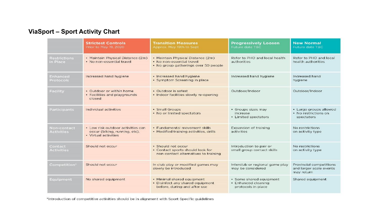#### **ViaSport – Sport Activity Chart**

|                                  | <b>Strictest Controls</b><br>Prior to May 19, 2020                                         | <b>Transition Measures</b><br>Approx. May 19th to Sept.                                                | <b>Progressively Loosen</b><br>Future date TBC                       | <b>New Normal</b><br>Future date TBC                              |
|----------------------------------|--------------------------------------------------------------------------------------------|--------------------------------------------------------------------------------------------------------|----------------------------------------------------------------------|-------------------------------------------------------------------|
| <b>Restrictions</b><br>in Place  | • Maintain Physical Distance (2m)<br>. No non-essential travel                             | • Maintain Physical Distance (2m)<br>. No non-essential travel<br>. No group gatherings over 50 people | Refer to PHO and local health<br>authorities                         | Refer to PHO and local<br>health authorities                      |
| Enhanced<br><b>Protocols</b>     | Increased hand hygiene                                                                     | · Increased hand hygiene.<br>· Symptom Screening in place                                              | Increased hand hygiene                                               | Increased hand<br>hygiene                                         |
| Facility                         | · Outdoor or within home<br>• Facilities and playgrounds<br>closed                         | • Outdoor is safest<br>· Indoor facilities slowly re-opening                                           | Outdoor/Indoor                                                       | Outdoor/Indoor                                                    |
| <b>Participants</b>              | Individual activities                                                                      | · Small Groups<br>• No or limited spectators                                                           | · Groups sizes may<br>increase<br>- Limited spectators               | · Large groups allowed<br>• No restrictions on<br>spectators      |
| Non-contact<br><b>Activities</b> | • Low risk outdoor activities can<br>occur (biking, running, etc).<br>• Virtual activities | · Fundamental movement skills<br>• Modified training activities, drills                                | Expansion of training<br>activities                                  | No restrictions<br>on activity type                               |
| Contact<br>Activities            | Should not occur                                                                           | · Should not occur<br>• Contact sports should look for<br>non-contact alternatives to training         | Introduction to pair or<br>small group contact skills                | No restrictions<br>on activity type                               |
| Competition"                     | Should not occur                                                                           | In club play or modified games may<br>slowly be introduced                                             | Interclub or regional game play<br>may be considered                 | Provincial competitions<br>and larger scale events<br>may return. |
| Equipment                        | No shared equipment                                                                        | · Minimal shared equipment<br>• Disinfect any shared equipment<br>before, during and after use         | · Some shared equipment<br>• Enhanced cleaning<br>protocols in place | Shared equipment                                                  |

\*Introduction of competitive activities should be in alignment with Sport Specific guidelines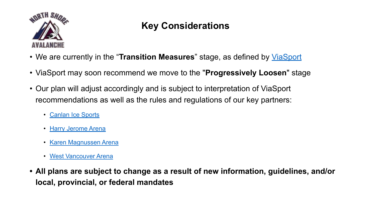

## **Key Considerations**

- We are currently in the "**Transition Measures**" stage, as defined by [ViaSport](https://www.viasport.ca/sites/default/files/ReturntoSportGuidelines.pdf)
- ViaSport may soon recommend we move to the "**Progressively Loosen**" stage
- Our plan will adjust accordingly and is subject to interpretation of ViaSport recommendations as well as the rules and regulations of our key partners:
	- [Canlan Ice Sports](https://www.icesports.com/itsplaytime/files/COVID%20SAFETY%20PLAN%20BC.pdf)
	- [Harry Jerome Arena](https://www.nvrc.ca/health-safety)
	- [Karen Magnussen Arena](https://www.nvrc.ca/health-safety)
	- [West Vancouver Arena](https://westvancouverrec.ca/general-information/health-safety)
- **• All plans are subject to change as a result of new information, guidelines, and/or local, provincial, or federal mandates**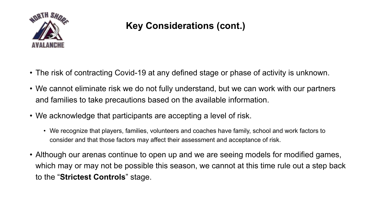

## **Key Considerations (cont.)**

- The risk of contracting Covid-19 at any defined stage or phase of activity is unknown.
- We cannot eliminate risk we do not fully understand, but we can work with our partners and families to take precautions based on the available information.
- We acknowledge that participants are accepting a level of risk.
	- We recognize that players, families, volunteers and coaches have family, school and work factors to consider and that those factors may affect their assessment and acceptance of risk.
- Although our arenas continue to open up and we are seeing models for modified games, which may or may not be possible this season, we cannot at this time rule out a step back to the "**Strictest Controls**" stage.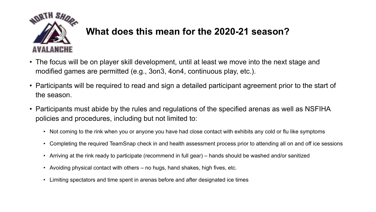

#### **What does this mean for the 2020-21 season?**

- The focus will be on player skill development, until at least we move into the next stage and modified games are permitted (e.g., 3on3, 4on4, continuous play, etc.).
- Participants will be required to read and sign a detailed participant agreement prior to the start of the season.
- Participants must abide by the rules and regulations of the specified arenas as well as NSFIHA policies and procedures, including but not limited to:
	- Not coming to the rink when you or anyone you have had close contact with exhibits any cold or flu like symptoms
	- Completing the required TeamSnap check in and health assessment process prior to attending all on and off ice sessions
	- Arriving at the rink ready to participate (recommend in full gear) hands should be washed and/or sanitized
	- Avoiding physical contact with others no hugs, hand shakes, high fives, etc.
	- Limiting spectators and time spent in arenas before and after designated ice times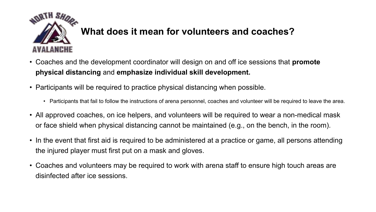

### **What does it mean for volunteers and coaches?**

- Coaches and the development coordinator will design on and off ice sessions that **promote physical distancing** and **emphasize individual skill development.**
- Participants will be required to practice physical distancing when possible.
	- Participants that fail to follow the instructions of arena personnel, coaches and volunteer will be required to leave the area.
- All approved coaches, on ice helpers, and volunteers will be required to wear a non-medical mask or face shield when physical distancing cannot be maintained (e.g., on the bench, in the room).
- In the event that first aid is required to be administered at a practice or game, all persons attending the injured player must first put on a mask and gloves.
- Coaches and volunteers may be required to work with arena staff to ensure high touch areas are disinfected after ice sessions.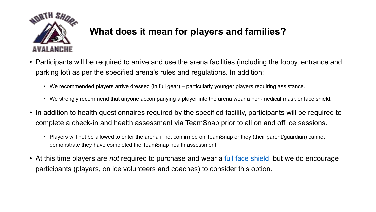

### **What does it mean for players and families?**

- Participants will be required to arrive and use the arena facilities (including the lobby, entrance and parking lot) as per the specified arena's rules and regulations. In addition:
	- We recommended players arrive dressed (in full gear) particularly younger players requiring assistance.
	- We strongly recommend that anyone accompanying a player into the arena wear a non-medical mask or face shield.
- In addition to health questionnaires required by the specified facility, participants will be required to complete a check-in and health assessment via TeamSnap prior to all on and off ice sessions.
	- Players will not be allowed to enter the arena if not confirmed on TeamSnap or they (their parent/guardian) cannot demonstrate they have completed the TeamSnap health assessment.
- At this time players are *not* required to purchase and wear a [full face shield](https://www.bauer.com/en-CA/hockey-helmets/facial-protection/concept-3-full-face-shield-visor-614879.html?cgid=Helmets-Facial#start=1), but we do encourage participants (players, on ice volunteers and coaches) to consider this option.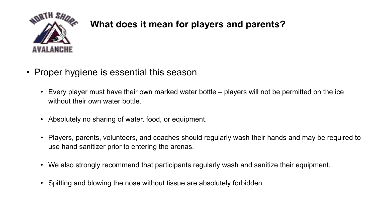

### **What does it mean for players and parents?**

- Proper hygiene is essential this season
	- Every player must have their own marked water bottle players will not be permitted on the ice without their own water bottle.
	- Absolutely no sharing of water, food, or equipment.
	- Players, parents, volunteers, and coaches should regularly wash their hands and may be required to use hand sanitizer prior to entering the arenas.
	- We also strongly recommend that participants regularly wash and sanitize their equipment.
	- Spitting and blowing the nose without tissue are absolutely forbidden.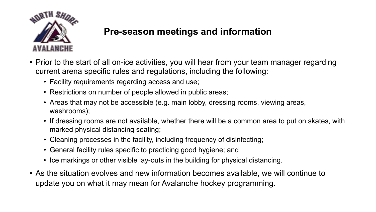

#### **Pre-season meetings and information**

- Prior to the start of all on-ice activities, you will hear from your team manager regarding current arena specific rules and regulations, including the following:
	- Facility requirements regarding access and use;
	- Restrictions on number of people allowed in public areas;
	- Areas that may not be accessible (e.g. main lobby, dressing rooms, viewing areas, washrooms);
	- If dressing rooms are not available, whether there will be a common area to put on skates, with marked physical distancing seating;
	- Cleaning processes in the facility, including frequency of disinfecting;
	- General facility rules specific to practicing good hygiene; and
	- Ice markings or other visible lay-outs in the building for physical distancing.
- As the situation evolves and new information becomes available, we will continue to update you on what it may mean for Avalanche hockey programming.